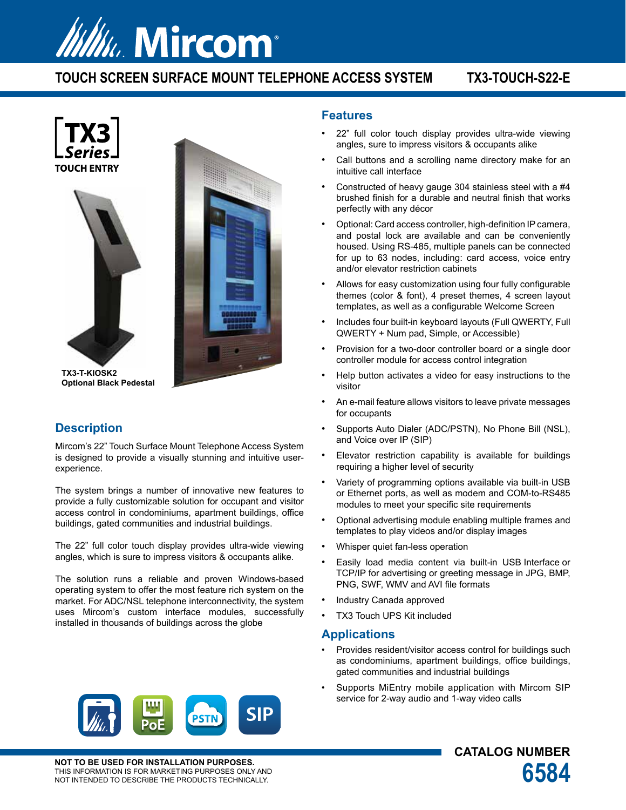# *Itility. Mircom®*

# **TOUCH SCREEN SURFACE MOUNT TELEPHONE ACCESS SYSTEM TX3-TOUCH-S22-E**







**TX3-T-KIOSK2 Optional Black Pedestal**

# **Description**

Mircom's 22" Touch Surface Mount Telephone Access System is designed to provide a visually stunning and intuitive userexperience.

The system brings a number of innovative new features to provide a fully customizable solution for occupant and visitor access control in condominiums, apartment buildings, office buildings, gated communities and industrial buildings.

The 22" full color touch display provides ultra-wide viewing angles, which is sure to impress visitors & occupants alike.

The solution runs a reliable and proven Windows-based operating system to offer the most feature rich system on the market. For ADC/NSL telephone interconnectivity, the system uses Mircom's custom interface modules, successfully installed in thousands of buildings across the globe

### **Features**

- 22" full color touch display provides ultra-wide viewing angles, sure to impress visitors & occupants alike
- Call buttons and a scrolling name directory make for an intuitive call interface
- Constructed of heavy gauge 304 stainless steel with a #4 brushed finish for a durable and neutral finish that works perfectly with any décor
- Optional: Card access controller, high-definition IP camera, and postal lock are available and can be conveniently housed. Using RS-485, multiple panels can be connected for up to 63 nodes, including: card access, voice entry and/or elevator restriction cabinets
- Allows for easy customization using four fully configurable themes (color & font), 4 preset themes, 4 screen layout templates, as well as a configurable Welcome Screen
- Includes four built-in keyboard layouts (Full QWERTY, Full QWERTY + Num pad, Simple, or Accessible)
- Provision for a two-door controller board or a single door controller module for access control integration
- Help button activates a video for easy instructions to the visitor
- An e-mail feature allows visitors to leave private messages for occupants
- Supports Auto Dialer (ADC/PSTN), No Phone Bill (NSL), and Voice over IP (SIP)
- Elevator restriction capability is available for buildings requiring a higher level of security
- Variety of programming options available via built-in USB or Ethernet ports, as well as modem and COM-to-RS485 modules to meet your specific site requirements
- Optional advertising module enabling multiple frames and templates to play videos and/or display images
- Whisper quiet fan-less operation
- Easily load media content via built-in USB Interface or TCP/IP for advertising or greeting message in JPG, BMP, PNG, SWF, WMV and AVI file formats
- Industry Canada approved
- TX3 Touch UPS Kit included

#### **Applications**

- Provides resident/visitor access control for buildings such as condominiums, apartment buildings, office buildings, gated communities and industrial buildings
- Supports MiEntry mobile application with Mircom SIP service for 2-way audio and 1-way video calls

**CATALOG NUMBER**



**NOT TO BE USED FOR INSTALLATION PURPOSES.** NOT TO BE USED FOR INSTALLATION PURPOSES.<br>THIS INFORMATION IS FOR MARKETING PURPOSES ONLY AND<br>NOT INTENDED TO DESCRIBE THE PRODUCTS TECHNICALLY.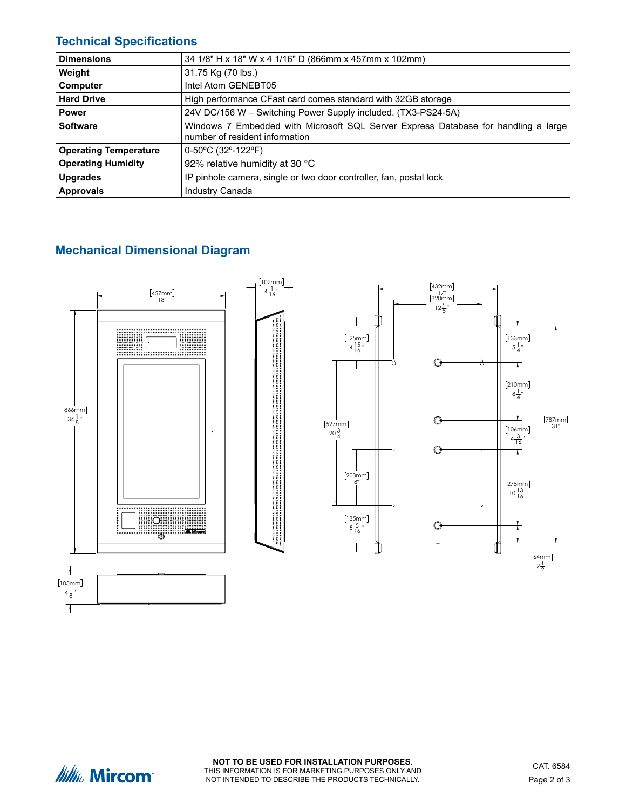# **Technical Specifications**

| <b>Dimensions</b>            | 34 1/8" H x 18" W x 4 1/16" D (866mm x 457mm x 102mm)                                                                |
|------------------------------|----------------------------------------------------------------------------------------------------------------------|
| Weight                       | 31.75 Kg (70 lbs.)                                                                                                   |
| <b>Computer</b>              | Intel Atom GENEBT05                                                                                                  |
| <b>Hard Drive</b>            | High performance CFast card comes standard with 32GB storage                                                         |
| <b>Power</b>                 | 24V DC/156 W - Switching Power Supply included. (TX3-PS24-5A)                                                        |
| Software                     | Windows 7 Embedded with Microsoft SQL Server Express Database for handling a large<br>number of resident information |
| <b>Operating Temperature</b> | $0-50^{\circ}$ C (32°-122°F)                                                                                         |
| <b>Operating Humidity</b>    | 92% relative humidity at 30 °C                                                                                       |
| Upgrades                     | IP pinhole camera, single or two door controller, fan, postal lock                                                   |
| <b>Approvals</b>             | Industry Canada                                                                                                      |

# **Mechanical Dimensional Diagram**